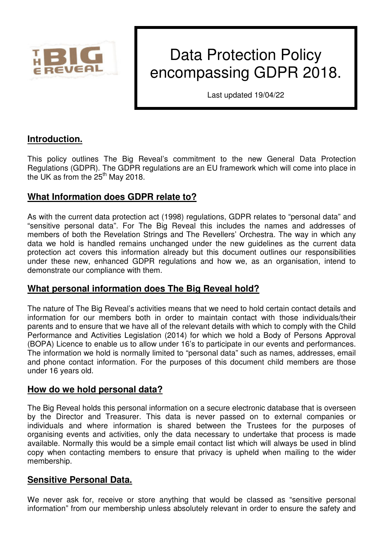

# Data Protection Policy encompassing GDPR 2018.

Last updated 19/04/22

# **Introduction.**

This policy outlines The Big Reveal's commitment to the new General Data Protection Regulations (GDPR). The GDPR regulations are an EU framework which will come into place in the UK as from the  $25<sup>th</sup>$  May 2018.

# **What Information does GDPR relate to?**

As with the current data protection act (1998) regulations, GDPR relates to "personal data" and "sensitive personal data". For The Big Reveal this includes the names and addresses of members of both the Revelation Strings and The Revellers' Orchestra. The way in which any data we hold is handled remains unchanged under the new guidelines as the current data protection act covers this information already but this document outlines our responsibilities under these new, enhanced GDPR regulations and how we, as an organisation, intend to demonstrate our compliance with them.

# **What personal information does The Big Reveal hold?**

The nature of The Big Reveal's activities means that we need to hold certain contact details and information for our members both in order to maintain contact with those individuals/their parents and to ensure that we have all of the relevant details with which to comply with the Child Performance and Activities Legislation (2014) for which we hold a Body of Persons Approval (BOPA) Licence to enable us to allow under 16's to participate in our events and performances. The information we hold is normally limited to "personal data" such as names, addresses, email and phone contact information. For the purposes of this document child members are those under 16 years old.

### **How do we hold personal data?**

The Big Reveal holds this personal information on a secure electronic database that is overseen by the Director and Treasurer. This data is never passed on to external companies or individuals and where information is shared between the Trustees for the purposes of organising events and activities, only the data necessary to undertake that process is made available. Normally this would be a simple email contact list which will always be used in blind copy when contacting members to ensure that privacy is upheld when mailing to the wider membership.

### **Sensitive Personal Data.**

We never ask for, receive or store anything that would be classed as "sensitive personal information" from our membership unless absolutely relevant in order to ensure the safety and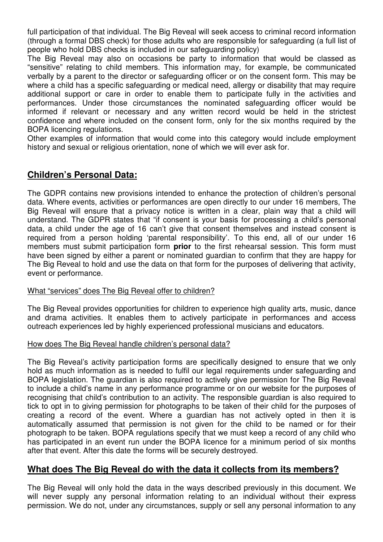full participation of that individual. The Big Reveal will seek access to criminal record information (through a formal DBS check) for those adults who are responsible for safeguarding (a full list of people who hold DBS checks is included in our safeguarding policy)

The Big Reveal may also on occasions be party to information that would be classed as "sensitive" relating to child members. This information may, for example, be communicated verbally by a parent to the director or safeguarding officer or on the consent form. This may be where a child has a specific safeguarding or medical need, allergy or disability that may require additional support or care in order to enable them to participate fully in the activities and performances. Under those circumstances the nominated safeguarding officer would be informed if relevant or necessary and any written record would be held in the strictest confidence and where included on the consent form, only for the six months required by the BOPA licencing regulations.

Other examples of information that would come into this category would include employment history and sexual or religious orientation, none of which we will ever ask for.

## **Children's Personal Data:**

The GDPR contains new provisions intended to enhance the protection of children's personal data. Where events, activities or performances are open directly to our under 16 members, The Big Reveal will ensure that a privacy notice is written in a clear, plain way that a child will understand. The GDPR states that "if consent is your basis for processing a child's personal data, a child under the age of 16 can't give that consent themselves and instead consent is required from a person holding 'parental responsibility'. To this end, all of our under 16 members must submit participation form **prior** to the first rehearsal session. This form must have been signed by either a parent or nominated guardian to confirm that they are happy for The Big Reveal to hold and use the data on that form for the purposes of delivering that activity, event or performance.

#### What "services" does The Big Reveal offer to children?

The Big Reveal provides opportunities for children to experience high quality arts, music, dance and drama activities. It enables them to actively participate in performances and access outreach experiences led by highly experienced professional musicians and educators.

#### How does The Big Reveal handle children's personal data?

The Big Reveal's activity participation forms are specifically designed to ensure that we only hold as much information as is needed to fulfil our legal requirements under safeguarding and BOPA legislation. The guardian is also required to actively give permission for The Big Reveal to include a child's name in any performance programme or on our website for the purposes of recognising that child's contribution to an activity. The responsible guardian is also required to tick to opt in to giving permission for photographs to be taken of their child for the purposes of creating a record of the event. Where a guardian has not actively opted in then it is automatically assumed that permission is not given for the child to be named or for their photograph to be taken. BOPA regulations specify that we must keep a record of any child who has participated in an event run under the BOPA licence for a minimum period of six months after that event. After this date the forms will be securely destroyed.

### **What does The Big Reveal do with the data it collects from its members?**

The Big Reveal will only hold the data in the ways described previously in this document. We will never supply any personal information relating to an individual without their express permission. We do not, under any circumstances, supply or sell any personal information to any